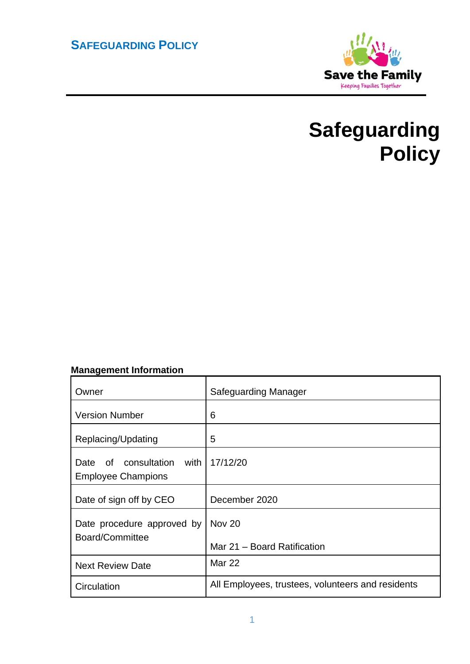# **SAFEGUARDING POLICY**



# **Safeguarding Policy**

# **Management Information**

| Owner                                                     | <b>Safeguarding Manager</b>                       |
|-----------------------------------------------------------|---------------------------------------------------|
| <b>Version Number</b>                                     | 6                                                 |
| Replacing/Updating                                        | 5                                                 |
| of consultation with<br>Date<br><b>Employee Champions</b> | 17/12/20                                          |
| Date of sign off by CEO                                   | December 2020                                     |
| Date procedure approved by<br>Board/Committee             | <b>Nov 20</b><br>Mar 21 - Board Ratification      |
| <b>Next Review Date</b>                                   | <b>Mar 22</b>                                     |
| Circulation                                               | All Employees, trustees, volunteers and residents |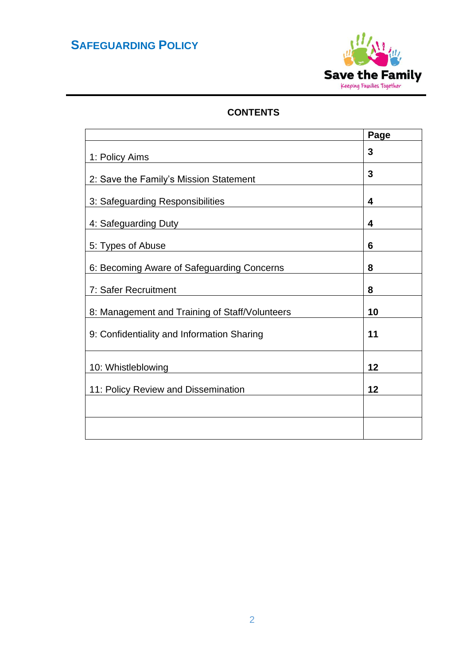# **SAFEGUARDING POLICY**



# **CONTENTS**

|                                                | Page |
|------------------------------------------------|------|
| 1: Policy Aims                                 | 3    |
| 2: Save the Family's Mission Statement         | 3    |
| 3: Safeguarding Responsibilities               | 4    |
| 4: Safeguarding Duty                           | 4    |
| 5: Types of Abuse                              | 6    |
| 6: Becoming Aware of Safeguarding Concerns     | 8    |
| 7: Safer Recruitment                           | 8    |
| 8: Management and Training of Staff/Volunteers | 10   |
| 9: Confidentiality and Information Sharing     | 11   |
| 10: Whistleblowing                             | 12   |
| 11: Policy Review and Dissemination            | 12   |
|                                                |      |
|                                                |      |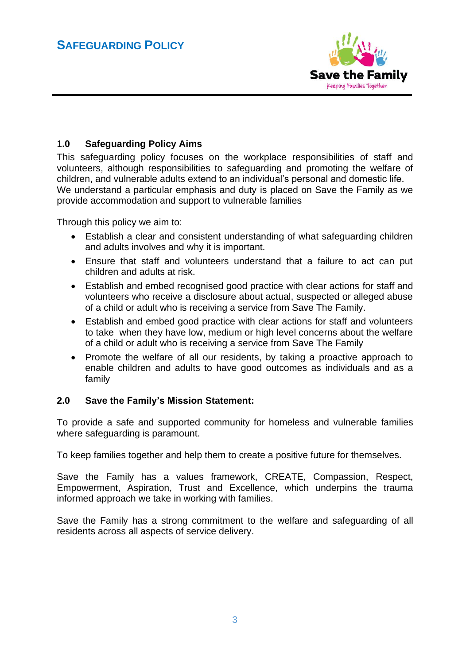

# 1**.0 Safeguarding Policy Aims**

This safeguarding policy focuses on the workplace responsibilities of staff and volunteers, although responsibilities to safeguarding and promoting the welfare of children, and vulnerable adults extend to an individual's personal and domestic life. We understand a particular emphasis and duty is placed on Save the Family as we provide accommodation and support to vulnerable families

Through this policy we aim to:

- Establish a clear and consistent understanding of what safeguarding children and adults involves and why it is important.
- Ensure that staff and volunteers understand that a failure to act can put children and adults at risk.
- Establish and embed recognised good practice with clear actions for staff and volunteers who receive a disclosure about actual, suspected or alleged abuse of a child or adult who is receiving a service from Save The Family.
- Establish and embed good practice with clear actions for staff and volunteers to take when they have low, medium or high level concerns about the welfare of a child or adult who is receiving a service from Save The Family
- Promote the welfare of all our residents, by taking a proactive approach to enable children and adults to have good outcomes as individuals and as a family

### **2.0 Save the Family's Mission Statement:**

To provide a safe and supported community for homeless and vulnerable families where safeguarding is paramount.

To keep families together and help them to create a positive future for themselves.

Save the Family has a values framework, CREATE, Compassion, Respect, Empowerment, Aspiration, Trust and Excellence, which underpins the trauma informed approach we take in working with families.

Save the Family has a strong commitment to the welfare and safeguarding of all residents across all aspects of service delivery.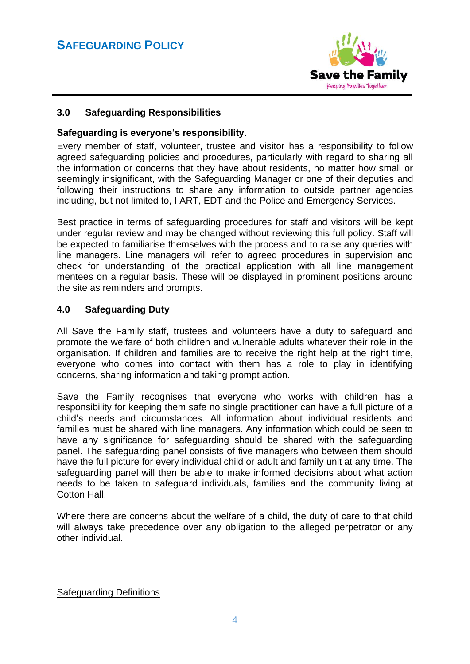

# **3.0 Safeguarding Responsibilities**

## **Safeguarding is everyone's responsibility.**

Every member of staff, volunteer, trustee and visitor has a responsibility to follow agreed safeguarding policies and procedures, particularly with regard to sharing all the information or concerns that they have about residents, no matter how small or seemingly insignificant, with the Safeguarding Manager or one of their deputies and following their instructions to share any information to outside partner agencies including, but not limited to, I ART, EDT and the Police and Emergency Services.

Best practice in terms of safeguarding procedures for staff and visitors will be kept under regular review and may be changed without reviewing this full policy. Staff will be expected to familiarise themselves with the process and to raise any queries with line managers. Line managers will refer to agreed procedures in supervision and check for understanding of the practical application with all line management mentees on a regular basis. These will be displayed in prominent positions around the site as reminders and prompts.

# **4.0 Safeguarding Duty**

All Save the Family staff, trustees and volunteers have a duty to safeguard and promote the welfare of both children and vulnerable adults whatever their role in the organisation. If children and families are to receive the right help at the right time, everyone who comes into contact with them has a role to play in identifying concerns, sharing information and taking prompt action.

Save the Family recognises that everyone who works with children has a responsibility for keeping them safe no single practitioner can have a full picture of a child's needs and circumstances. All information about individual residents and families must be shared with line managers. Any information which could be seen to have any significance for safeguarding should be shared with the safeguarding panel. The safeguarding panel consists of five managers who between them should have the full picture for every individual child or adult and family unit at any time. The safeguarding panel will then be able to make informed decisions about what action needs to be taken to safeguard individuals, families and the community living at Cotton Hall.

Where there are concerns about the welfare of a child, the duty of care to that child will always take precedence over any obligation to the alleged perpetrator or any other individual.

Safeguarding Definitions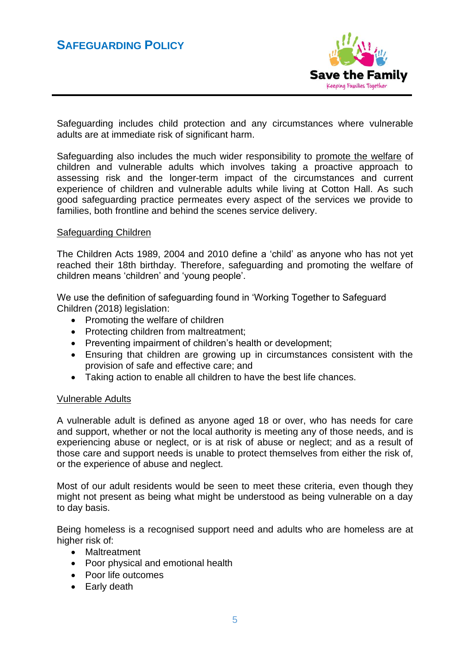

Safeguarding includes child protection and any circumstances where vulnerable adults are at immediate risk of significant harm.

Safeguarding also includes the much wider responsibility to promote the welfare of children and vulnerable adults which involves taking a proactive approach to assessing risk and the longer-term impact of the circumstances and current experience of children and vulnerable adults while living at Cotton Hall. As such good safeguarding practice permeates every aspect of the services we provide to families, both frontline and behind the scenes service delivery.

#### Safeguarding Children

The Children Acts 1989, 2004 and 2010 define a 'child' as anyone who has not yet reached their 18th birthday. Therefore, safeguarding and promoting the welfare of children means 'children' and 'young people'.

We use the definition of safeguarding found in 'Working Together to Safeguard Children (2018) legislation:

- Promoting the welfare of children
- Protecting children from maltreatment;
- Preventing impairment of children's health or development;
- Ensuring that children are growing up in circumstances consistent with the provision of safe and effective care; and
- Taking action to enable all children to have the best life chances.

### Vulnerable Adults

A vulnerable adult is defined as anyone aged 18 or over, who has needs for care and support, whether or not the local authority is meeting any of those needs, and is experiencing abuse or neglect, or is at risk of abuse or neglect; and as a result of those care and support needs is unable to protect themselves from either the risk of, or the experience of abuse and neglect.

Most of our adult residents would be seen to meet these criteria, even though they might not present as being what might be understood as being vulnerable on a day to day basis.

Being homeless is a recognised support need and adults who are homeless are at higher risk of:

- Maltreatment
- Poor physical and emotional health
- Poor life outcomes
- Early death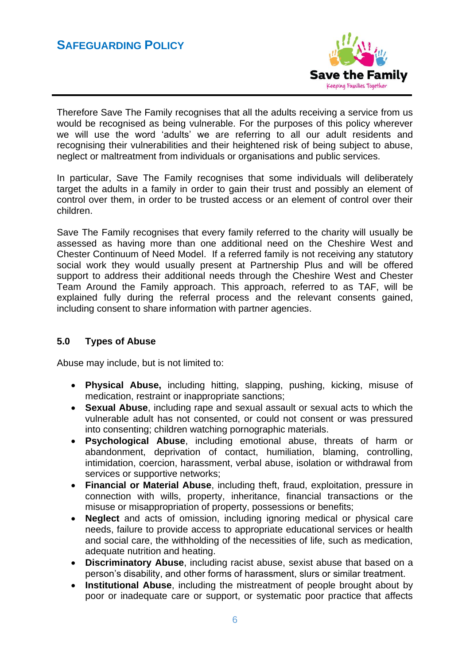

Therefore Save The Family recognises that all the adults receiving a service from us would be recognised as being vulnerable. For the purposes of this policy wherever we will use the word 'adults' we are referring to all our adult residents and recognising their vulnerabilities and their heightened risk of being subject to abuse, neglect or maltreatment from individuals or organisations and public services.

In particular, Save The Family recognises that some individuals will deliberately target the adults in a family in order to gain their trust and possibly an element of control over them, in order to be trusted access or an element of control over their children.

Save The Family recognises that every family referred to the charity will usually be assessed as having more than one additional need on the Cheshire West and Chester Continuum of Need Model. If a referred family is not receiving any statutory social work they would usually present at Partnership Plus and will be offered support to address their additional needs through the Cheshire West and Chester Team Around the Family approach. This approach, referred to as TAF, will be explained fully during the referral process and the relevant consents gained, including consent to share information with partner agencies.

# **5.0 Types of Abuse**

Abuse may include, but is not limited to:

- **Physical Abuse,** including hitting, slapping, pushing, kicking, misuse of medication, restraint or inappropriate sanctions;
- **Sexual Abuse**, including rape and sexual assault or sexual acts to which the vulnerable adult has not consented, or could not consent or was pressured into consenting; children watching pornographic materials.
- **Psychological Abuse**, including emotional abuse, threats of harm or abandonment, deprivation of contact, humiliation, blaming, controlling, intimidation, coercion, harassment, verbal abuse, isolation or withdrawal from services or supportive networks;
- **Financial or Material Abuse**, including theft, fraud, exploitation, pressure in connection with wills, property, inheritance, financial transactions or the misuse or misappropriation of property, possessions or benefits;
- **Neglect** and acts of omission, including ignoring medical or physical care needs, failure to provide access to appropriate educational services or health and social care, the withholding of the necessities of life, such as medication, adequate nutrition and heating.
- **Discriminatory Abuse**, including racist abuse, sexist abuse that based on a person's disability, and other forms of harassment, slurs or similar treatment.
- **Institutional Abuse**, including the mistreatment of people brought about by poor or inadequate care or support, or systematic poor practice that affects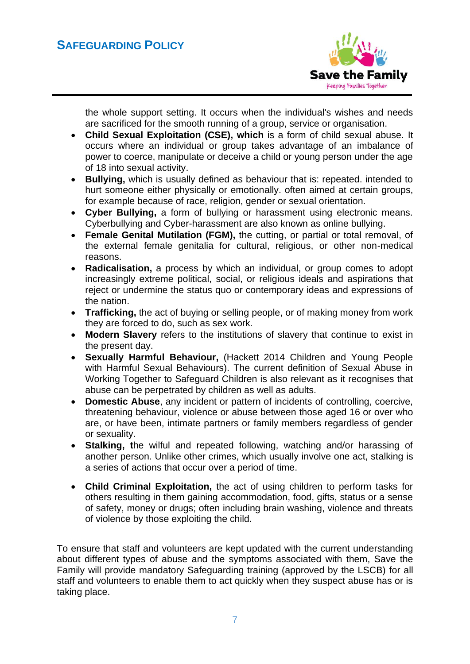

the whole support setting. It occurs when the individual's wishes and needs are sacrificed for the smooth running of a group, service or organisation.

- **Child Sexual Exploitation (CSE), which** is a form of child sexual abuse. It occurs where an individual or group takes advantage of an imbalance of power to coerce, manipulate or deceive a child or young person under the age of 18 into sexual activity.
- **Bullying,** which is usually defined as behaviour that is: repeated. intended to hurt someone either physically or emotionally. often aimed at certain groups, for example because of race, religion, gender or sexual orientation.
- **Cyber Bullying,** a form of bullying or harassment using electronic means. Cyberbullying and Cyber-harassment are also known as online bullying.
- **Female Genital Mutilation (FGM),** the cutting, or partial or total removal, of the external female genitalia for cultural, religious, or other non-medical reasons.
- **Radicalisation,** a process by which an individual, or group comes to adopt increasingly extreme political, social, or religious ideals and aspirations that reject or undermine the status quo or contemporary ideas and expressions of the nation.
- **Trafficking,** the act of buying or selling people, or of making money from work they are forced to do, such as sex work.
- **Modern Slavery** refers to the institutions of slavery that continue to exist in the present day.
- **Sexually Harmful Behaviour,** (Hackett 2014 Children and Young People with Harmful Sexual Behaviours). The current definition of Sexual Abuse in Working Together to Safeguard Children is also relevant as it recognises that abuse can be perpetrated by children as well as adults.
- **Domestic Abuse**, any incident or pattern of incidents of controlling, coercive, threatening behaviour, violence or abuse between those aged 16 or over who are, or have been, intimate partners or family members regardless of gender or sexuality.
- **Stalking, t**he wilful and repeated following, watching and/or harassing of another person. Unlike other crimes, which usually involve one act, stalking is a series of actions that occur over a period of time.
- **Child Criminal Exploitation,** the act of using children to perform tasks for others resulting in them gaining accommodation, food, gifts, status or a sense of safety, money or drugs; often including brain washing, violence and threats of violence by those exploiting the child.

To ensure that staff and volunteers are kept updated with the current understanding about different types of abuse and the symptoms associated with them, Save the Family will provide mandatory Safeguarding training (approved by the LSCB) for all staff and volunteers to enable them to act quickly when they suspect abuse has or is taking place.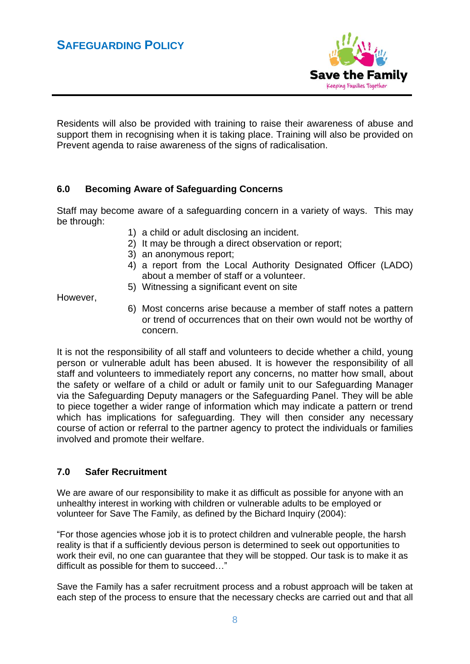

Residents will also be provided with training to raise their awareness of abuse and support them in recognising when it is taking place. Training will also be provided on Prevent agenda to raise awareness of the signs of radicalisation.

# **6.0 Becoming Aware of Safeguarding Concerns**

Staff may become aware of a safeguarding concern in a variety of ways. This may be through:

- 1) a child or adult disclosing an incident.
- 2) It may be through a direct observation or report;
- 3) an anonymous report;
- 4) a report from the Local Authority Designated Officer (LADO) about a member of staff or a volunteer.
- 5) Witnessing a significant event on site

However,

6) Most concerns arise because a member of staff notes a pattern or trend of occurrences that on their own would not be worthy of concern.

It is not the responsibility of all staff and volunteers to decide whether a child, young person or vulnerable adult has been abused. It is however the responsibility of all staff and volunteers to immediately report any concerns, no matter how small, about the safety or welfare of a child or adult or family unit to our Safeguarding Manager via the Safeguarding Deputy managers or the Safeguarding Panel. They will be able to piece together a wider range of information which may indicate a pattern or trend which has implications for safeguarding. They will then consider any necessary course of action or referral to the partner agency to protect the individuals or families involved and promote their welfare.

### **7.0 Safer Recruitment**

We are aware of our responsibility to make it as difficult as possible for anyone with an unhealthy interest in working with children or vulnerable adults to be employed or volunteer for Save The Family, as defined by the Bichard Inquiry (2004):

"For those agencies whose job it is to protect children and vulnerable people, the harsh reality is that if a sufficiently devious person is determined to seek out opportunities to work their evil, no one can guarantee that they will be stopped. Our task is to make it as difficult as possible for them to succeed…"

Save the Family has a safer recruitment process and a robust approach will be taken at each step of the process to ensure that the necessary checks are carried out and that all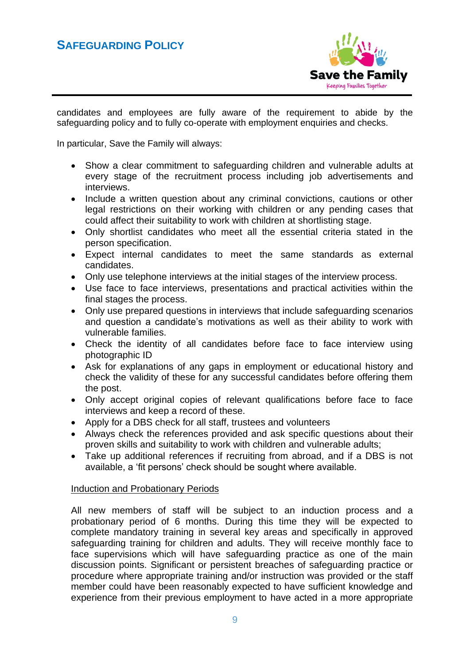# **SAFEGUARDING POLICY**



candidates and employees are fully aware of the requirement to abide by the safeguarding policy and to fully co-operate with employment enquiries and checks.

In particular, Save the Family will always:

- Show a clear commitment to safeguarding children and vulnerable adults at every stage of the recruitment process including job advertisements and interviews.
- Include a written question about any criminal convictions, cautions or other legal restrictions on their working with children or any pending cases that could affect their suitability to work with children at shortlisting stage.
- Only shortlist candidates who meet all the essential criteria stated in the person specification.
- Expect internal candidates to meet the same standards as external candidates.
- Only use telephone interviews at the initial stages of the interview process.
- Use face to face interviews, presentations and practical activities within the final stages the process.
- Only use prepared questions in interviews that include safeguarding scenarios and question a candidate's motivations as well as their ability to work with vulnerable families.
- Check the identity of all candidates before face to face interview using photographic ID
- Ask for explanations of any gaps in employment or educational history and check the validity of these for any successful candidates before offering them the post.
- Only accept original copies of relevant qualifications before face to face interviews and keep a record of these.
- Apply for a DBS check for all staff, trustees and volunteers
- Always check the references provided and ask specific questions about their proven skills and suitability to work with children and vulnerable adults;
- Take up additional references if recruiting from abroad, and if a DBS is not available, a 'fit persons' check should be sought where available.

### Induction and Probationary Periods

All new members of staff will be subject to an induction process and a probationary period of 6 months. During this time they will be expected to complete mandatory training in several key areas and specifically in approved safeguarding training for children and adults. They will receive monthly face to face supervisions which will have safeguarding practice as one of the main discussion points. Significant or persistent breaches of safeguarding practice or procedure where appropriate training and/or instruction was provided or the staff member could have been reasonably expected to have sufficient knowledge and experience from their previous employment to have acted in a more appropriate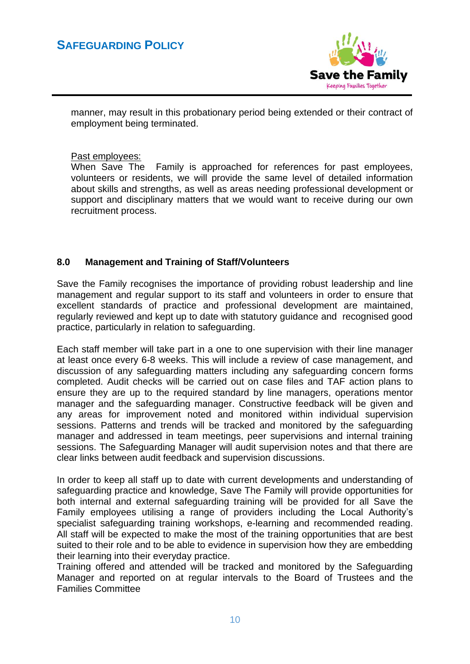

manner, may result in this probationary period being extended or their contract of employment being terminated.

#### Past employees:

When Save The Family is approached for references for past employees, volunteers or residents, we will provide the same level of detailed information about skills and strengths, as well as areas needing professional development or support and disciplinary matters that we would want to receive during our own recruitment process.

# **8.0 Management and Training of Staff/Volunteers**

Save the Family recognises the importance of providing robust leadership and line management and regular support to its staff and volunteers in order to ensure that excellent standards of practice and professional development are maintained, regularly reviewed and kept up to date with statutory guidance and recognised good practice, particularly in relation to safeguarding.

Each staff member will take part in a one to one supervision with their line manager at least once every 6-8 weeks. This will include a review of case management, and discussion of any safeguarding matters including any safeguarding concern forms completed. Audit checks will be carried out on case files and TAF action plans to ensure they are up to the required standard by line managers, operations mentor manager and the safeguarding manager. Constructive feedback will be given and any areas for improvement noted and monitored within individual supervision sessions. Patterns and trends will be tracked and monitored by the safeguarding manager and addressed in team meetings, peer supervisions and internal training sessions. The Safeguarding Manager will audit supervision notes and that there are clear links between audit feedback and supervision discussions.

In order to keep all staff up to date with current developments and understanding of safeguarding practice and knowledge, Save The Family will provide opportunities for both internal and external safeguarding training will be provided for all Save the Family employees utilising a range of providers including the Local Authority's specialist safeguarding training workshops, e-learning and recommended reading. All staff will be expected to make the most of the training opportunities that are best suited to their role and to be able to evidence in supervision how they are embedding their learning into their everyday practice.

Training offered and attended will be tracked and monitored by the Safeguarding Manager and reported on at regular intervals to the Board of Trustees and the Families Committee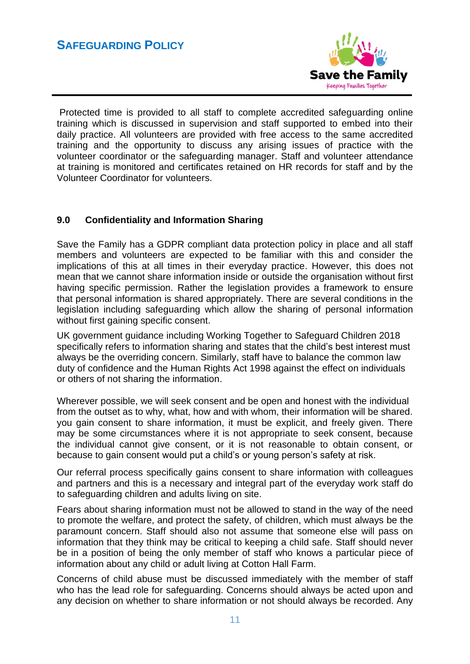

Protected time is provided to all staff to complete accredited safeguarding online training which is discussed in supervision and staff supported to embed into their daily practice. All volunteers are provided with free access to the same accredited training and the opportunity to discuss any arising issues of practice with the volunteer coordinator or the safeguarding manager. Staff and volunteer attendance at training is monitored and certificates retained on HR records for staff and by the Volunteer Coordinator for volunteers.

# **9.0 Confidentiality and Information Sharing**

Save the Family has a GDPR compliant data protection policy in place and all staff members and volunteers are expected to be familiar with this and consider the implications of this at all times in their everyday practice. However, this does not mean that we cannot share information inside or outside the organisation without first having specific permission. Rather the legislation provides a framework to ensure that personal information is shared appropriately. There are several conditions in the legislation including safeguarding which allow the sharing of personal information without first gaining specific consent.

UK government guidance including Working Together to Safeguard Children 2018 specifically refers to information sharing and states that the child's best interest must always be the overriding concern. Similarly, staff have to balance the common law duty of confidence and the Human Rights Act 1998 against the effect on individuals or others of not sharing the information.

Wherever possible, we will seek consent and be open and honest with the individual from the outset as to why, what, how and with whom, their information will be shared. you gain consent to share information, it must be explicit, and freely given. There may be some circumstances where it is not appropriate to seek consent, because the individual cannot give consent, or it is not reasonable to obtain consent, or because to gain consent would put a child's or young person's safety at risk.

Our referral process specifically gains consent to share information with colleagues and partners and this is a necessary and integral part of the everyday work staff do to safeguarding children and adults living on site.

Fears about sharing information must not be allowed to stand in the way of the need to promote the welfare, and protect the safety, of children, which must always be the paramount concern. Staff should also not assume that someone else will pass on information that they think may be critical to keeping a child safe. Staff should never be in a position of being the only member of staff who knows a particular piece of information about any child or adult living at Cotton Hall Farm.

Concerns of child abuse must be discussed immediately with the member of staff who has the lead role for safeguarding. Concerns should always be acted upon and any decision on whether to share information or not should always be recorded. Any